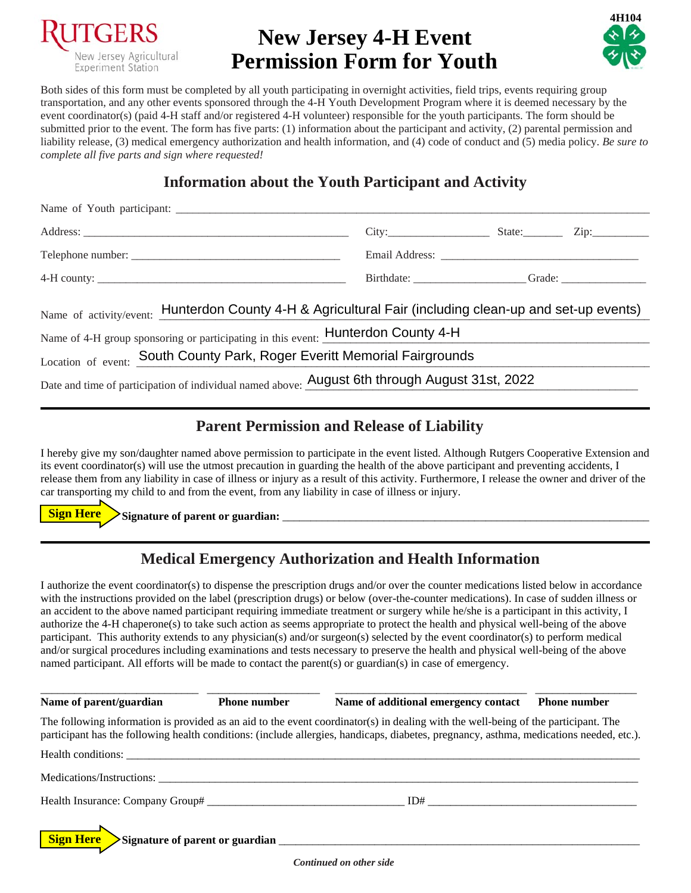

# **New Jersey 4-H Event Permission Form for Youth**



Both sides of this form must be completed by all youth participating in overnight activities, field trips, events requiring group transportation, and any other events sponsored through the 4-H Youth Development Program where it is deemed necessary by the event coordinator(s) (paid 4-H staff and/or registered 4-H volunteer) responsible for the youth participants. The form should be submitted prior to the event. The form has five parts: (1) information about the participant and activity, (2) parental permission and liability release, (3) medical emergency authorization and health information, and (4) code of conduct and (5) media policy. *Be sure to complete all five parts and sign where requested!* 

## **Information about the Youth Participant and Activity**

|                                                                                                                                                                                                     | $City:$ State: Zip: |  |  |  |
|-----------------------------------------------------------------------------------------------------------------------------------------------------------------------------------------------------|---------------------|--|--|--|
|                                                                                                                                                                                                     |                     |  |  |  |
|                                                                                                                                                                                                     |                     |  |  |  |
| Name of activity/event: Hunterdon County 4-H & Agricultural Fair (including clean-up and set-up events)<br>Name of 4-H group sponsoring or participating in this event: <b>Hunterdon County 4-H</b> |                     |  |  |  |
|                                                                                                                                                                                                     |                     |  |  |  |
| Location of event: South County Park, Roger Everitt Memorial Fairgrounds                                                                                                                            |                     |  |  |  |
| Date and time of participation of individual named above: August 6th through August 31st, 2022                                                                                                      |                     |  |  |  |

#### **Parent Permission and Release of Liability**

I hereby give my son/daughter named above permission to participate in the event listed. Although Rutgers Cooperative Extension and its event coordinator(s) will use the utmost precaution in guarding the health of the above participant and preventing accidents, I release them from any liability in case of illness or injury as a result of this activity. Furthermore, I release the owner and driver of the car transporting my child to and from the event, from any liability in case of illness or injury.

**Signature of parent or guardian:** \_\_\_\_\_\_\_\_\_\_\_\_\_\_\_\_\_\_\_\_\_\_\_\_\_\_\_\_\_\_\_\_\_\_\_\_\_\_\_\_\_\_\_\_\_\_\_\_\_\_\_\_\_\_\_\_\_\_\_\_\_\_\_\_\_ **Sign Here**

#### **Medical Emergency Authorization and Health Information**

I authorize the event coordinator(s) to dispense the prescription drugs and/or over the counter medications listed below in accordance with the instructions provided on the label (prescription drugs) or below (over-the-counter medications). In case of sudden illness or an accident to the above named participant requiring immediate treatment or surgery while he/she is a participant in this activity, I authorize the 4-H chaperone(s) to take such action as seems appropriate to protect the health and physical well-being of the above participant. This authority extends to any physician(s) and/or surgeon(s) selected by the event coordinator(s) to perform medical and/or surgical procedures including examinations and tests necessary to preserve the health and physical well-being of the above named participant. All efforts will be made to contact the parent(s) or guardian(s) in case of emergency.

\_\_\_\_\_\_\_\_\_\_\_\_\_\_\_\_\_\_\_\_\_\_\_\_\_\_\_\_ \_\_\_\_\_\_\_\_\_\_\_\_\_\_\_\_\_\_\_\_ \_\_\_\_\_\_\_\_\_\_\_\_\_\_\_\_\_\_\_\_\_\_\_\_\_\_\_\_\_\_\_\_\_\_ \_\_\_\_\_\_\_\_\_\_\_\_\_\_\_\_\_\_ Name of parent/guardian **Phone number** Name of additional emergency contact **Phone number** The following information is provided as an aid to the event coordinator(s) in dealing with the well-being of the participant. The participant has the following health conditions: (include allergies, handicaps, diabetes, pregnancy, asthma, medications needed, etc.). Health conditions: \_\_\_\_\_\_\_\_\_\_\_\_\_\_\_\_\_\_\_\_\_\_\_\_\_\_\_\_\_\_\_\_\_\_\_\_\_\_\_\_\_\_\_\_\_\_\_\_\_\_\_\_\_\_\_\_\_\_\_\_\_\_\_\_\_\_\_\_\_\_\_\_\_\_\_\_\_\_\_\_\_\_\_\_\_\_\_\_\_\_\_ Medications/Instructions: Health Insurance: Company Group# \_\_\_\_\_\_\_\_\_\_\_\_\_\_\_\_\_\_\_\_\_\_\_\_\_\_\_\_\_\_\_\_\_\_\_ ID# \_\_\_\_\_\_\_\_\_\_\_\_\_\_\_\_\_\_\_\_\_\_\_\_\_\_\_\_\_\_\_\_\_\_\_\_\_ Signature of parent or guardian **Latitude 2.1 million Sign Here**